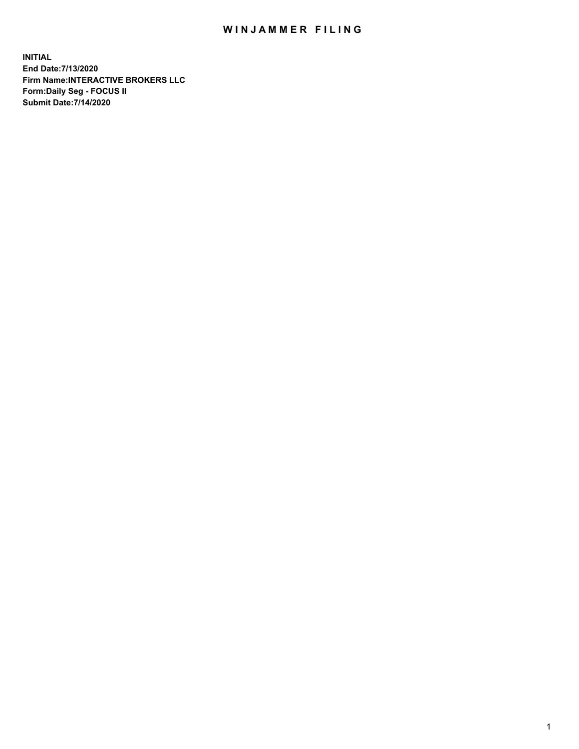## WIN JAMMER FILING

**INITIAL End Date:7/13/2020 Firm Name:INTERACTIVE BROKERS LLC Form:Daily Seg - FOCUS II Submit Date:7/14/2020**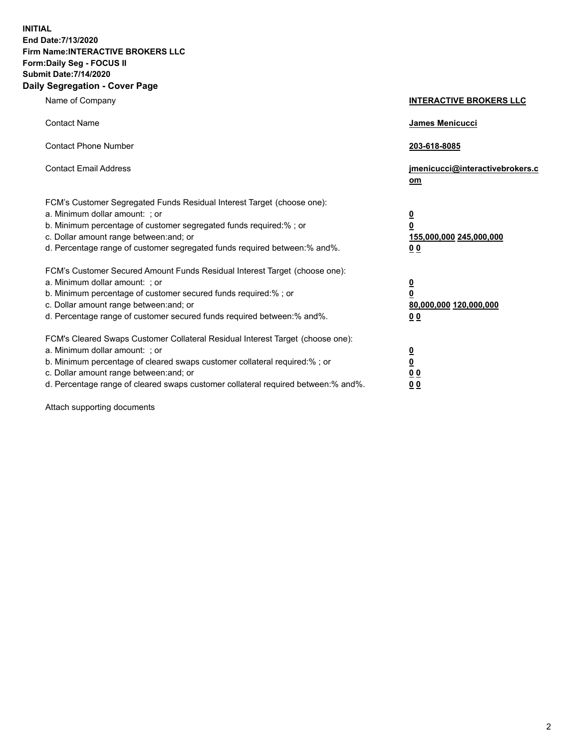**INITIAL End Date:7/13/2020 Firm Name:INTERACTIVE BROKERS LLC Form:Daily Seg - FOCUS II Submit Date:7/14/2020 Daily Segregation - Cover Page**

| Name of Company                                                                                                                                                                                                                                                                                                               | <b>INTERACTIVE BROKERS LLC</b>                                                                  |  |
|-------------------------------------------------------------------------------------------------------------------------------------------------------------------------------------------------------------------------------------------------------------------------------------------------------------------------------|-------------------------------------------------------------------------------------------------|--|
| <b>Contact Name</b>                                                                                                                                                                                                                                                                                                           | James Menicucci                                                                                 |  |
| <b>Contact Phone Number</b>                                                                                                                                                                                                                                                                                                   | 203-618-8085                                                                                    |  |
| <b>Contact Email Address</b>                                                                                                                                                                                                                                                                                                  | jmenicucci@interactivebrokers.c<br><u>om</u>                                                    |  |
| FCM's Customer Segregated Funds Residual Interest Target (choose one):<br>a. Minimum dollar amount: ; or<br>b. Minimum percentage of customer segregated funds required:% ; or<br>c. Dollar amount range between: and; or<br>d. Percentage range of customer segregated funds required between:% and%.                        | $\overline{\mathbf{0}}$<br>$\overline{\mathbf{0}}$<br>155,000,000 245,000,000<br>0 <sub>0</sub> |  |
| FCM's Customer Secured Amount Funds Residual Interest Target (choose one):<br>a. Minimum dollar amount: ; or<br>b. Minimum percentage of customer secured funds required:%; or<br>c. Dollar amount range between: and; or<br>d. Percentage range of customer secured funds required between:% and%.                           | $\overline{\mathbf{0}}$<br>$\overline{\mathbf{0}}$<br>80,000,000 120,000,000<br>0 <sub>0</sub>  |  |
| FCM's Cleared Swaps Customer Collateral Residual Interest Target (choose one):<br>a. Minimum dollar amount: ; or<br>b. Minimum percentage of cleared swaps customer collateral required:%; or<br>c. Dollar amount range between: and; or<br>d. Percentage range of cleared swaps customer collateral required between:% and%. | $\overline{\mathbf{0}}$<br>$\overline{\mathbf{0}}$<br>0 <sub>0</sub><br>0 <sub>0</sub>          |  |

Attach supporting documents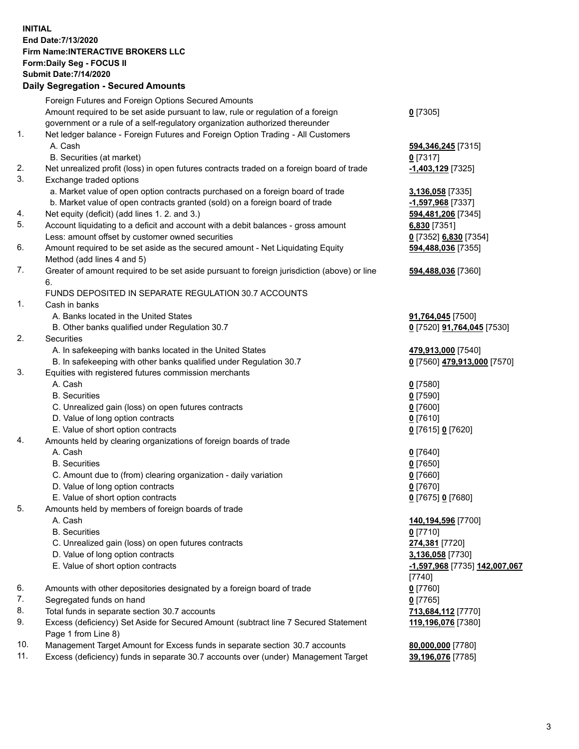**INITIAL End Date:7/13/2020 Firm Name:INTERACTIVE BROKERS LLC Form:Daily Seg - FOCUS II Submit Date:7/14/2020 Daily Segregation - Secured Amounts**

## Foreign Futures and Foreign Options Secured Amounts Amount required to be set aside pursuant to law, rule or regulation of a foreign government or a rule of a self-regulatory organization authorized thereunder **0** [7305] 1. Net ledger balance - Foreign Futures and Foreign Option Trading - All Customers A. Cash **594,346,245** [7315] B. Securities (at market) **0** [7317] 2. Net unrealized profit (loss) in open futures contracts traded on a foreign board of trade **-1,403,129** [7325] 3. Exchange traded options a. Market value of open option contracts purchased on a foreign board of trade **3,136,058** [7335] b. Market value of open contracts granted (sold) on a foreign board of trade **-1,597,968** [7337] 4. Net equity (deficit) (add lines 1. 2. and 3.) **594,481,206** [7345] 5. Account liquidating to a deficit and account with a debit balances - gross amount **6,830** [7351] Less: amount offset by customer owned securities **0** [7352] **6,830** [7354] 6. Amount required to be set aside as the secured amount - Net Liquidating Equity Method (add lines 4 and 5) **594,488,036** [7355] 7. Greater of amount required to be set aside pursuant to foreign jurisdiction (above) or line 6. **594,488,036** [7360] FUNDS DEPOSITED IN SEPARATE REGULATION 30.7 ACCOUNTS 1. Cash in banks A. Banks located in the United States **91,764,045** [7500] B. Other banks qualified under Regulation 30.7 **0** [7520] **91,764,045** [7530] 2. Securities A. In safekeeping with banks located in the United States **479,913,000** [7540] B. In safekeeping with other banks qualified under Regulation 30.7 **0** [7560] **479,913,000** [7570] 3. Equities with registered futures commission merchants A. Cash **0** [7580] B. Securities **0** [7590] C. Unrealized gain (loss) on open futures contracts **0** [7600] D. Value of long option contracts **0** [7610] E. Value of short option contracts **0** [7615] **0** [7620] 4. Amounts held by clearing organizations of foreign boards of trade A. Cash **0** [7640] B. Securities **0** [7650] C. Amount due to (from) clearing organization - daily variation **0** [7660] D. Value of long option contracts **0** [7670] E. Value of short option contracts **0** [7675] **0** [7680] 5. Amounts held by members of foreign boards of trade A. Cash **140,194,596** [7700] B. Securities **0** [7710] C. Unrealized gain (loss) on open futures contracts **274,381** [7720] D. Value of long option contracts **3,136,058** [7730] E. Value of short option contracts **-1,597,968** [7735] **142,007,067** [7740] 6. Amounts with other depositories designated by a foreign board of trade **0** [7760] 7. Segregated funds on hand **0** [7765] 8. Total funds in separate section 30.7 accounts **713,684,112** [7770] 9. Excess (deficiency) Set Aside for Secured Amount (subtract line 7 Secured Statement Page 1 from Line 8) **119,196,076** [7380] 10. Management Target Amount for Excess funds in separate section 30.7 accounts **80,000,000** [7780] 11. Excess (deficiency) funds in separate 30.7 accounts over (under) Management Target **39,196,076** [7785]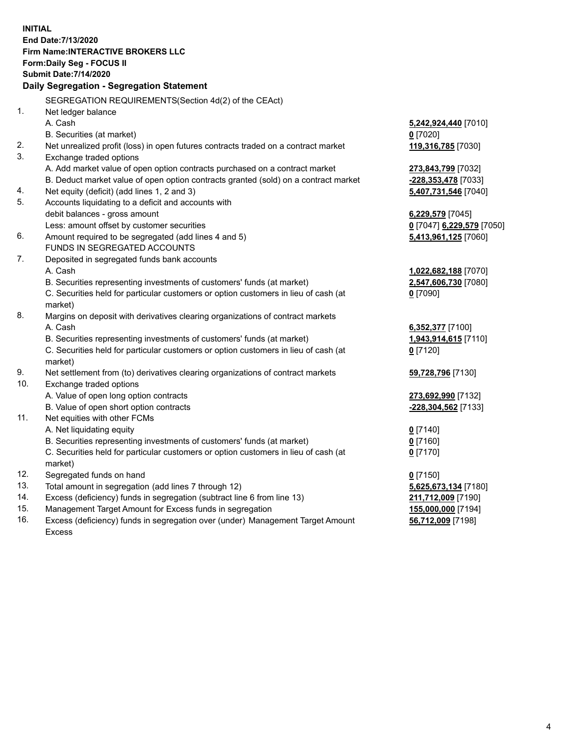**INITIAL End Date:7/13/2020 Firm Name:INTERACTIVE BROKERS LLC Form:Daily Seg - FOCUS II Submit Date:7/14/2020 Daily Segregation - Segregation Statement** SEGREGATION REQUIREMENTS(Section 4d(2) of the CEAct) 1. Net ledger balance A. Cash **5,242,924,440** [7010] B. Securities (at market) **0** [7020] 2. Net unrealized profit (loss) in open futures contracts traded on a contract market **119,316,785** [7030] 3. Exchange traded options A. Add market value of open option contracts purchased on a contract market **273,843,799** [7032] B. Deduct market value of open option contracts granted (sold) on a contract market **-228,353,478** [7033] 4. Net equity (deficit) (add lines 1, 2 and 3) **5,407,731,546** [7040] 5. Accounts liquidating to a deficit and accounts with debit balances - gross amount **6,229,579** [7045] Less: amount offset by customer securities **0** [7047] **6,229,579** [7050] 6. Amount required to be segregated (add lines 4 and 5) **5,413,961,125** [7060] FUNDS IN SEGREGATED ACCOUNTS 7. Deposited in segregated funds bank accounts A. Cash **1,022,682,188** [7070] B. Securities representing investments of customers' funds (at market) **2,547,606,730** [7080] C. Securities held for particular customers or option customers in lieu of cash (at market) **0** [7090] 8. Margins on deposit with derivatives clearing organizations of contract markets A. Cash **6,352,377** [7100] B. Securities representing investments of customers' funds (at market) **1,943,914,615** [7110] C. Securities held for particular customers or option customers in lieu of cash (at market) **0** [7120] 9. Net settlement from (to) derivatives clearing organizations of contract markets **59,728,796** [7130] 10. Exchange traded options A. Value of open long option contracts **273,692,990** [7132] B. Value of open short option contracts **-228,304,562** [7133] 11. Net equities with other FCMs A. Net liquidating equity **0** [7140] B. Securities representing investments of customers' funds (at market) **0** [7160] C. Securities held for particular customers or option customers in lieu of cash (at market) **0** [7170] 12. Segregated funds on hand **0** [7150] 13. Total amount in segregation (add lines 7 through 12) **5,625,673,134** [7180] 14. Excess (deficiency) funds in segregation (subtract line 6 from line 13) **211,712,009** [7190] 15. Management Target Amount for Excess funds in segregation **155,000,000** [7194] 16. Excess (deficiency) funds in segregation over (under) Management Target Amount **56,712,009** [7198]

Excess